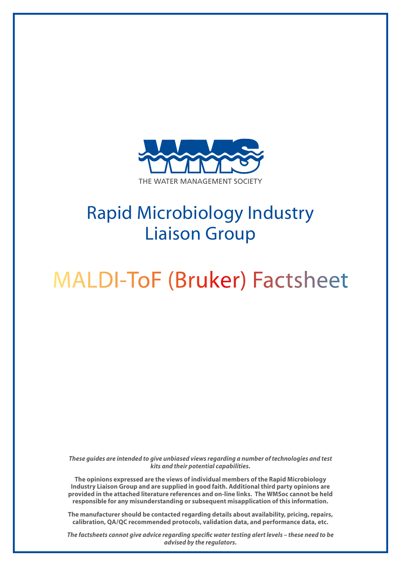

## Rapid Microbiology Industry Liaison Group

# MALDI-ToF (Bruker) Factsheet

*These guides are intended to give unbiased views regarding a number of technologies and test kits and their potential capabilities.*

**The opinions expressed are the views of individual members of the Rapid Microbiology Industry Liaison Group and are supplied in good faith. Additional third party opinions are provided in the attached literature references and on-line links. The WMSoc cannot be held responsible for any misunderstanding or subsequent misapplication of this information.**

**The manufacturer should be contacted regarding details about availability, pricing, repairs, calibration, QA/QC recommended protocols, validation data, and performance data, etc.**

*The factsheets cannot give advice regarding specific water testing alert levels – these need to be advised by the regulators.*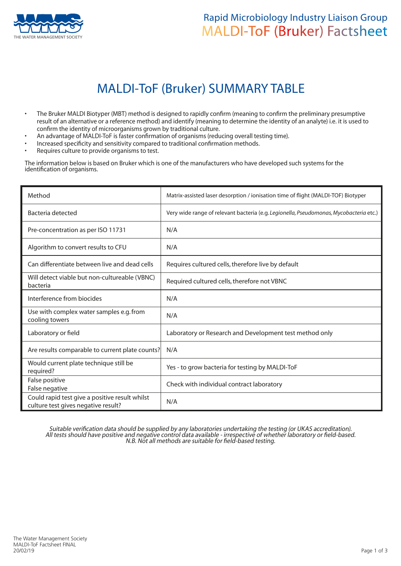

### Rapid Microbiology Industry Liaison Group **THE MANAGEMENT SOCIETY** MALDI-ToF (Bruker) Factsheet

## MALDI-ToF (Bruker) SUMMARY TABLE

- The Bruker MALDI Biotyper (MBT) method is designed to rapidly confirm (meaning to confirm the preliminary presumptive result of an alternative or a reference method) and identify (meaning to determine the identity of an analyte) i.e. it is used to confirm the identity of microorganisms grown by traditional culture.
- An advantage of MALDI-ToF is faster confirmation of organisms (reducing overall testing time).
- Increased specificity and sensitivity compared to traditional confirmation methods.
- Requires culture to provide organisms to test.

The information below is based on Bruker which is one of the manufacturers who have developed such systems for the identification of organisms.

| Method                                                                                | Matrix-assisted laser desorption / ionisation time of flight (MALDI-TOF) Biotyper      |
|---------------------------------------------------------------------------------------|----------------------------------------------------------------------------------------|
| Bacteria detected                                                                     | Very wide range of relevant bacteria (e.g. Legionella, Pseudomonas, Mycobacteria etc.) |
| Pre-concentration as per ISO 11731                                                    | N/A                                                                                    |
| Algorithm to convert results to CFU                                                   | N/A                                                                                    |
| Can differentiate between live and dead cells                                         | Requires cultured cells, therefore live by default                                     |
| Will detect viable but non-cultureable (VBNC)<br>bacteria                             | Required cultured cells, therefore not VBNC                                            |
| Interference from biocides                                                            | N/A                                                                                    |
| Use with complex water samples e.g. from<br>cooling towers                            | N/A                                                                                    |
| Laboratory or field                                                                   | Laboratory or Research and Development test method only                                |
| Are results comparable to current plate counts?                                       | N/A                                                                                    |
| Would current plate technique still be<br>required?                                   | Yes - to grow bacteria for testing by MALDI-ToF                                        |
| False positive<br>False negative                                                      | Check with individual contract laboratory                                              |
| Could rapid test give a positive result whilst<br>culture test gives negative result? | N/A                                                                                    |

Suitable verification data should be supplied by any laboratories undertaking the testing (or UKAS accreditation). All tests should have positive and negative control data available - irrespective of whether laboratory or field-based. N.B. Not all methods are suitable for field-based testing.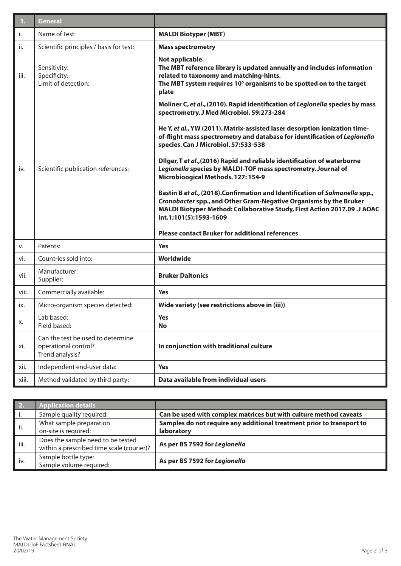| 1.    | <b>General</b>                                                               |                                                                                                                                                                                                                                                                                                                                                                                                                                                                                                                                                                                                                                                                                                                                                                                                                                              |  |
|-------|------------------------------------------------------------------------------|----------------------------------------------------------------------------------------------------------------------------------------------------------------------------------------------------------------------------------------------------------------------------------------------------------------------------------------------------------------------------------------------------------------------------------------------------------------------------------------------------------------------------------------------------------------------------------------------------------------------------------------------------------------------------------------------------------------------------------------------------------------------------------------------------------------------------------------------|--|
| i.    | Name of Test:                                                                | <b>MALDI Biotyper (MBT)</b>                                                                                                                                                                                                                                                                                                                                                                                                                                                                                                                                                                                                                                                                                                                                                                                                                  |  |
| ii.   | Scientific principles / basis for test:                                      | <b>Mass spectrometry</b>                                                                                                                                                                                                                                                                                                                                                                                                                                                                                                                                                                                                                                                                                                                                                                                                                     |  |
| iii.  | Sensitivity:<br>Specificity:<br>Limit of detection:                          | Not applicable.<br>The MBT reference library is updated annually and includes information<br>related to taxonomy and matching-hints.<br>The MBT system requires 10 <sup>5</sup> organisms to be spotted on to the target<br>plate                                                                                                                                                                                                                                                                                                                                                                                                                                                                                                                                                                                                            |  |
| İV.   | Scientific publication references:                                           | Moliner C, et al., (2010). Rapid identification of Legionella species by mass<br>spectrometry. J Med Microbiol. 59:273-284<br>He Y, et al., YW (2011). Matrix-assisted laser desorption ionization time-<br>of-flight mass spectrometry and database for identification of Legionella<br>species. Can J Microbiol. 57:533-538<br>Dilger, T et al., (2016) Rapid and reliable identification of waterborne<br>Legionella species by MALDI-TOF mass spectrometry. Journal of<br>Microbioogical Methods. 127: 154-9<br>Bastin B et al., (2018). Confirmation and Identification of Salmonella spp.,<br><b>Cronobacter spp., and Other Gram-Negative Organisms by the Bruker</b><br>MALDI Biotyper Method: Collaborative Study, First Action 2017.09 .J AOAC<br>Int.1;101(5):1593-1609<br><b>Please contact Bruker for additional references</b> |  |
| V.    | Patents:                                                                     | <b>Yes</b>                                                                                                                                                                                                                                                                                                                                                                                                                                                                                                                                                                                                                                                                                                                                                                                                                                   |  |
| vi.   | Countries sold into:                                                         | Worldwide                                                                                                                                                                                                                                                                                                                                                                                                                                                                                                                                                                                                                                                                                                                                                                                                                                    |  |
| vii.  | Manufacturer:<br>Supplier:                                                   | <b>Bruker Daltonics</b>                                                                                                                                                                                                                                                                                                                                                                                                                                                                                                                                                                                                                                                                                                                                                                                                                      |  |
| viii. | Commercially available:                                                      | <b>Yes</b>                                                                                                                                                                                                                                                                                                                                                                                                                                                                                                                                                                                                                                                                                                                                                                                                                                   |  |
| ix.   | Micro-organism species detected:                                             | Wide variety (see restrictions above in (iii))                                                                                                                                                                                                                                                                                                                                                                                                                                                                                                                                                                                                                                                                                                                                                                                               |  |
| х.    | Lab based:<br>Field based:                                                   | Yes<br><b>No</b>                                                                                                                                                                                                                                                                                                                                                                                                                                                                                                                                                                                                                                                                                                                                                                                                                             |  |
| xi.   | Can the test be used to determine<br>operational control?<br>Trend analysis? | In conjunction with traditional culture                                                                                                                                                                                                                                                                                                                                                                                                                                                                                                                                                                                                                                                                                                                                                                                                      |  |
| xii.  | Independent end-user data:                                                   | <b>Yes</b>                                                                                                                                                                                                                                                                                                                                                                                                                                                                                                                                                                                                                                                                                                                                                                                                                                   |  |
| xiii. | Method validated by third party:                                             | Data available from individual users                                                                                                                                                                                                                                                                                                                                                                                                                                                                                                                                                                                                                                                                                                                                                                                                         |  |

| 2.   | <b>Application details</b>                                                     |                                                                                     |
|------|--------------------------------------------------------------------------------|-------------------------------------------------------------------------------------|
| i.   | Sample quality required:                                                       | Can be used with complex matrices but with culture method caveats                   |
| ii.  | What sample preparation<br>on-site is required:                                | Samples do not require any additional treatment prior to transport to<br>laboratory |
| iii. | Does the sample need to be tested<br>within a prescribed time scale (courier)? | As per BS 7592 for Legionella                                                       |
| iv.  | Sample bottle type:<br>Sample volume required:                                 | As per BS 7592 for Legionella                                                       |